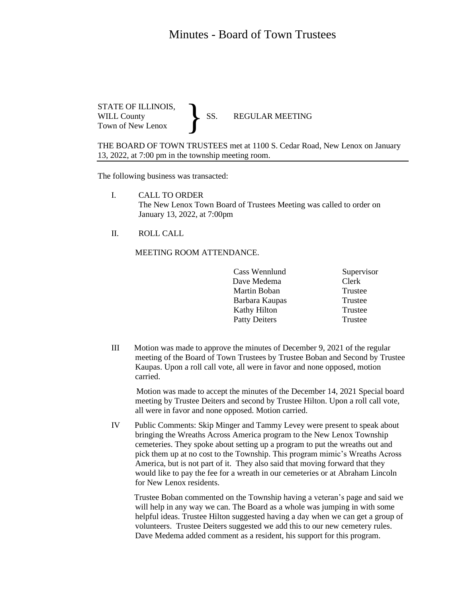## Minutes - Board of Town Trustees

STATE OF ILLINOIS,<br>WILL County SS. WILL County SS. REGULAR MEETING Town of New Lenox }

THE BOARD OF TOWN TRUSTEES met at 1100 S. Cedar Road, New Lenox on January 13, 2022, at 7:00 pm in the township meeting room.

The following business was transacted:

- I. CALL TO ORDER The New Lenox Town Board of Trustees Meeting was called to order on January 13, 2022, at 7:00pm
- II. ROLL CALL

MEETING ROOM ATTENDANCE.

|  | Cass Wennlund        | Supervisor |
|--|----------------------|------------|
|  | Dave Medema          | Clerk      |
|  | Martin Boban         | Trustee    |
|  | Barbara Kaupas       | Trustee    |
|  | Kathy Hilton         | Trustee    |
|  | <b>Patty Deiters</b> | Trustee    |
|  |                      |            |

III Motion was made to approve the minutes of December 9, 2021 of the regular meeting of the Board of Town Trustees by Trustee Boban and Second by Trustee Kaupas. Upon a roll call vote, all were in favor and none opposed, motion carried.

 Motion was made to accept the minutes of the December 14, 2021 Special board meeting by Trustee Deiters and second by Trustee Hilton. Upon a roll call vote, all were in favor and none opposed. Motion carried.

IV Public Comments: Skip Minger and Tammy Levey were present to speak about bringing the Wreaths Across America program to the New Lenox Township cemeteries. They spoke about setting up a program to put the wreaths out and pick them up at no cost to the Township. This program mimic's Wreaths Across America, but is not part of it. They also said that moving forward that they would like to pay the fee for a wreath in our cemeteries or at Abraham Lincoln for New Lenox residents.

 Trustee Boban commented on the Township having a veteran's page and said we will help in any way we can. The Board as a whole was jumping in with some helpful ideas. Trustee Hilton suggested having a day when we can get a group of volunteers. Trustee Deiters suggested we add this to our new cemetery rules. Dave Medema added comment as a resident, his support for this program.